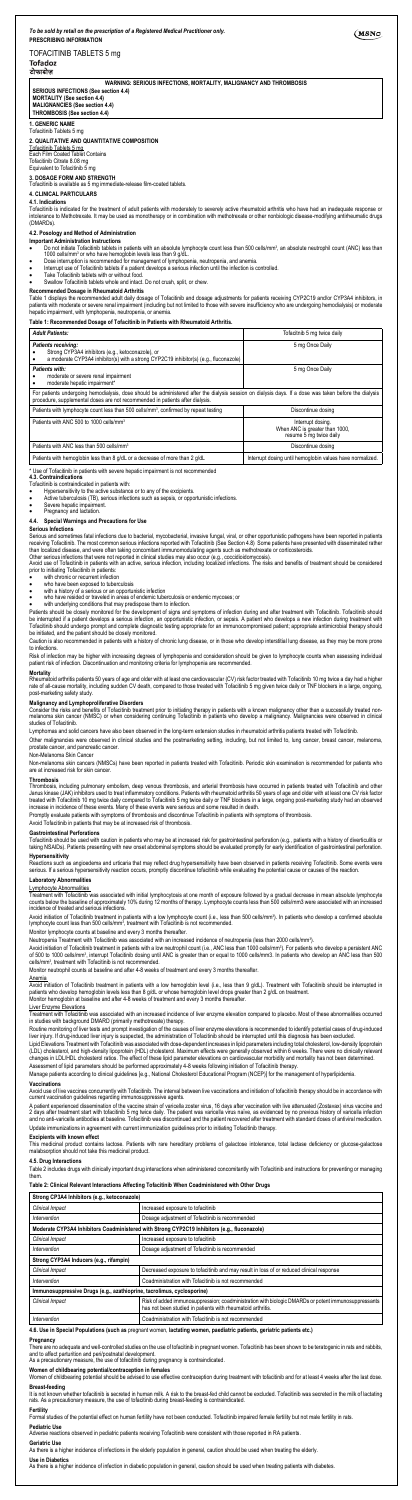**MORTALITY (See section 4.4) MALIGNANCIES (See section** 

# TOFACITINIB TABLETS 5 mg

# टोफाडोज

 $(MSNO)$ 

**WARNING: SERIOUS INFECTIONS, MORTALITY, MALIGNANCY AND THROMBOSIS SERIOUS INFECTIONS (See section 4.4)**

**THROMBOSIS (See section 4.4)**

#### **1. GENERIC NAME** Tofacitinib Tablets 5 mg

# **2. QUALITATIVE AND QUANTITATIVE COMPOSITION**

Tofacitinib Tablets 5 mg Each Film Coated Tablet Contains

**4.1. Indications**<br>Tofacitinib is indicated for the treatment of adult patients with moderately to severely active rheumatoid arthritis who have had an inadequate response or intolerance to Methotrexate. It may be used as monotherapy or in combination with methotrexate or other nonbiologic disease-modifying antirheumatic drugs (DMARDs).

Tofacitinib Citrate 8.08 mg Equivalent to Tofacitinib 5 mg

**3. DOSAGE FORM AND STRENGTH** Tofacitinib is available as 5 mg immediate-release film-coated tablets.

# **4. CLINICAL PARTICULARS**

# **4.2. Posology and Method of Administration**

- **Important Administration Instructions**
- Do not initiate Tofacitinib tablets in patients with an absolute lymphocyte count less than 500 cells/mmª, an absolute neutrophil count (ANC) less than o<br>1000 cells/mmª or who have hemoglobin levels less than 9 g/dL.<br>●
- Interrupt use of Tofacitinib tablets if a patient develops a serious infection until the infection is controlled.
- 
- • Take Tofacitinib tablets with or without food. • Swallow Tofacitinib tablets whole and intact. Do not crush, split, or chew.

**Recommended Dosage in Rheumatoid Arthritis**<br>Table 1 displays the recommended adult daily dosage of Tofacitinib and dosage adjustments for patients receiving CYP2C19 and/or CYP3A4 inhibitors, in<br>patients with moderate or s patients with moderate or severe render in particularly in the hepatic impairment, with lymphopenia, neutropenia, or anemia.

- 
- 
- Tofacitinib is contraindicated in patients with: Hypersensitivity to the active substance or to any of the excipients. Active tuberculosis (TB), serious infections such as sepsis, or opportunistic infections.
- Severe hepatic impairment.

### Pregnancy and lactation. **4.4. Special Warnings and Precautions for Use**

### **Table 1: Recommended Dosage of Tofacitinib in Patients with Rheumatoid Arthritis.**

| <b>Adult Patients:</b>                                                                                                                                                                                                                  | Tofacitnib 5 mg twice daily                                                    |  |
|-----------------------------------------------------------------------------------------------------------------------------------------------------------------------------------------------------------------------------------------|--------------------------------------------------------------------------------|--|
| <b>Patients receiving:</b><br>Strong CYP3A4 inhibitors (e.g., ketoconazole), or<br>a moderate CYP3A4 inhibitor(s) with a strong CYP2C19 inhibitor(s) (e.g., fluconazole)                                                                | 5 mg Once Daily                                                                |  |
| Patients with:<br>moderate or severe renal impairment<br>moderate hepatic impairment*                                                                                                                                                   | 5 mg Once Daily                                                                |  |
| For patients undergoing hemodialysis, dose should be administered after the dialysis session on dialysis days. If a dose was taken before the dialysis<br>procedure, supplemental doses are not recommended in patients after dialysis. |                                                                                |  |
| Patients with lymphocyte count less than 500 cells/mm <sup>3</sup> , confirmed by repeat testing                                                                                                                                        | Discontinue dosing                                                             |  |
| Patients with ANC 500 to 1000 cells/mm <sup>3</sup>                                                                                                                                                                                     | Interrupt dosing.<br>When ANC is greater than 1000,<br>resume 5 mg twice daily |  |
| Patients with ANC less than 500 cells/mm <sup>3</sup>                                                                                                                                                                                   | Discontinue dosing                                                             |  |
| Patients with hemoglobin less than 8 g/dL or a decrease of more than 2 g/dL                                                                                                                                                             | Interrupt dosing until hemoglobin values have normalized.                      |  |

**Malignancy and Lymphoproliferative Disorders**<br>Consider the risks and benefits of Tofacitinib treatment prior to initiating therapy in patients with a known malignancy other than a successfully treated non-<br>melanoma skin c studies of Tofacitinib.

\* Use of Tofacitinib in patients with severe hepatic impairment is not recommended

#### **4.3. Contraindications**

Other malignancies were observed in clinical studies and the postmarketing setting, including, but not limited to, lung cancer, breast cancer, melanoma, prostate cancer, and pancreatic cancer

**Serious Infections**

Serious and sometimes fatal infections due to bacterial, mycobacterial, invasive fungal, viral, or other opportunistic pathogens have been reported in patients<br>treceiving Tofacitinib. The most common serious infections rep

Reactions such as angioedema and urticaria that may reflect drug hypersensitivity have been observed in patients receiving Tofacitinib. Some events were<br>serious. If a serious hypersensitivity reaction occurs, promptly disc **Laboratory Abnormalities**

Lymphocyte Abnormalities Treatment with Tofacitinib was associated with initial lymphocytosis at one month of exposure followed by a gradual decrease in mean absolute lymphocyte<br>counts below the baseline of approximately 10% during 12 months of t

Avoid initiation of Tofacitinib treatment in patients with a low lymphocyte count (i.e., less than 500 cells/mmª). In patients who develop a confirmed absolute<br>lymphocyte count less than 500 cells/mmª, treatment with Tofac

Monitor lymphocyte counts at baseline and every 3 months thereafter

prior to initiating Tofacitinib in patients:

- with chronic or recurrent infection
- 
- 
- who have been exposed to tuberculosis with a history of a serious or an opportunistic infection who have resided or traveled in areas of endemic tuberculosis or endemic mycoses; or
- with underlying conditions that may predispose them to infection.

Patients should be closely monitored for the development of signs and symptoms of infection during and after treatment with Tofacitinib. Tofacitinib should<br>be interrupted if a patient develops a serious infection, an oppor

Liver Enzyme Elevations<br>Treatment with Tofacitinib was associated with an increased incidence of liver enzyme elevation compared to placebo. Most of these abnormalities occurred in studies with background DMARD (primarily methotrexate) therapy.

Routine monitoring of liver tests and prompt investigation of the causes of liver enzyme elevations is recommended to identify potential cases of drug-induced<br>liver injury. If drug-induced liver injury is suspected, the ad

Caution is also recommended in patients with a history of chronic lung disease, or in those who develop interstitial lung disease, as they may be more prone to infections.

Risk of infection may be higher with increasing degrees of lymphopenia and consideration should be given to lymphocyte counts when assessing individual<br>patient risk of infection. Discontinuation and monitoring criteria for

### **Mortality**

Rheumatoid arthritis patients 50 years of age and older with at least one cardiovascular (CV) risk factor treated with Tofacitinib 10 mg twice a day had a higher<br>rate of all-cause mortality, including sudden CV death, comp

Avoid use of live vaccines concurrently with Tofacitinib. The interval between live vaccinations and initiation of tofacitinib therapy should be in accordance with current vaccination guidelines regarding immunosuppressive agents.

A patient experienced dissemination of the vaccine strain of varicella zoster virus, 16 days after vaccination with live attenuated (Zostavax) virus vaccine and<br>2 days after treatment start with tofactinib (of the matter o Update immunizations in agreement with current immunization guidelines prior to initiating Tofacitinib therapy.

# **Excipients with known effect**<br>This medicinal product contain

Lymphomas and solid cancers have also been observed in the long-term extension studies in rheumatoid arthritis patients treated with Tofacitinib.

### Non-Melanoma Skin Cancer

Non-melanoma skin cancers (NMSCs) have been reported in patients treated with Tofacitinib. Periodic skin examination is recommended for patients who are at increased risk for skin cancer.

#### **Thrombosis**

Thrombosis, including pulmonary embolism, deep venous thrombosis, and arterial thrombosis have occurred in patients treated with Tofacitinib and other<br>Janus kinase (JAK) inhibitors used to treat inflammatory conditions. Pa

Promptly evaluate patients with symptoms of thrombosis and discontinue Tofacitinib in patients with symptoms of thrombosis.

#### Avoid Tofacitinib in patients that may be at increased risk of thrombosis.

### **Gastrointestinal Perforations**

Tofacitinib should be used with caution in patients who may be at increased risk for gastrointestinal perforation (e.g., patients with a history of diverticulitis or<br>taking NSAIDs). Patients presenting with new onset abdom

### **Hypersensitivity**

Neutropenia Treatment with Tofacitinib was associated with an increased incidence of neutropenia (less than 2000 cells/mm3 ).

Avoid initiation of Tofacitinib treatment in patients with a low neutrophil count (i.e., ANC less than 1000 cells/mmª). For patients who develop a persistent ANC<br>of 500 to 1000 cells/mmª, interrupt Tofacitinib dosing unti

Monitor neutrophil counts at baseline and after 4-8 weeks of treatment and every 3 months the

<u>Anemia</u><br>Avoid initiation of Tofacitinib treatment in patients with a low hemoglobin level (i.e., less than 9 g/dL). Treatment with Tofacitinib should be interrupted in<br>patients who develop hemoglobin levels less than 8 g/

Lipid Elevations Treatment with Tofacitinib was associated with dose-dependent increases in lipid parameters including total cholesterol, low-density lipoprotein (LDL) cholesterol, and high-density lipoprotein (HDL) cholesterol. Maximum effects were generally observed within 6 weeks. There were no clinically relevant<br>changes in LDL/HDL cholesterol ratios. The effect of these lipid Assessment of lipid parameters should be performed approximately 4-8 weeks following initiation of Tofacitinib therapy.

Manage patients according to clinical guidelines [e.g., National Cholesterol Educational Program (NCEP)] for the management of hyperlipidemia.

#### **Vaccinations**

This medicinal product contains lactose. Patients with rare hereditary problems of galactose intolerance, total lactase deficiency or glucose-galactose malabsorption should not take this medicinal product.

### **4.5. Drug Interactions**

Table 2 includes drugs with clinically important drug interactions when administered concomitantly with Tofacitinib and instructions for preventing or managing them.

#### **Table 2: Clinical Relevant Interactions Affecting Tofacitinib When Coadministered with Other Drugs**

| Strong CP3A4 Inhibitors (e.g., ketoconazole)                                                 |                                                                                                                                                                    |  |
|----------------------------------------------------------------------------------------------|--------------------------------------------------------------------------------------------------------------------------------------------------------------------|--|
| Clinical Impact                                                                              | Increased exposure to tofacitinib                                                                                                                                  |  |
| Intervention                                                                                 | Dosage adjustment of Tofacitinib is recommended                                                                                                                    |  |
| Moderate CYP3A4 Inhibitors Coadministered with Strong CYP2C19 Inhibitors (e.g., fluconazole) |                                                                                                                                                                    |  |
| Clinical Impact                                                                              | Increased exposure to tofacitinib                                                                                                                                  |  |
| Intervention                                                                                 | Dosage adjustment of Tofacitinib is recommended                                                                                                                    |  |
| Strong CYP3A4 Inducers (e.g., rifampin)                                                      |                                                                                                                                                                    |  |
| Clinical Impact                                                                              | Decreased exposure to tofacitinib and may result in loss of or reduced clinical response                                                                           |  |
| Intervention                                                                                 | Coadministration with Tofacitinib is not recommended                                                                                                               |  |
| Immunosuppressive Drugs (e.g., azathioprine, tacrolimus, cyclosporine)                       |                                                                                                                                                                    |  |
| Clinical Impact                                                                              | Risk of added immunosuppression; coadministration with biologic DMARDs or potent immunosuppressants<br>has not been studied in patients with rheumatoid arthritis. |  |
| Intervention                                                                                 | Coadministration with Tofacitinib is not recommended                                                                                                               |  |

**4.6. Use in Special Populations (such as** pregnant women, **lactating women, paediatric patients, geriatric patients etc.)**

**Pregnancy**<br>There are no adequate and well-controlled studies on the use of tofacitinib in pregnant women. Tofacitinib has been shown to be teratogenic in rats and rabbits,

and to affect parturition and peri/postnatal development. As a precautionary measure, the use of tofacitinib during pregnancy is contraindicated.

### **Women of childbearing potential/contraception in females**

Women of childbearing potential should be advised to use effective contraception during treatment with tofacitinib and for at least 4 weeks after the last dose.

**Breast-feeding**<br>It is not known whether tofacitinib is secreted in human milk. A risk to the breast-fed child cannot be excluded. Tofacitinib was secreted in the milk of lactating rats. As a precautionary measure, the use of tofacitinib during breast-feeding is contraindicated

**Fertility**<br>Formal studies of the potential effect on human fertility have not been conducted. Tofacitinib impaired female fertility in ettestity in rats.

### **Pediatric Use**

Adverse reactions observed in pediatric patients receiving Tofacitinib were consistent with those reported in RA patients.

### **Geriatric Use**

As there is a higher incidence of infections in the elderly population in general, caution should be used when treating the elderly.

### **Use in Diabetics**

As there is a higher incidence of infection in diabetic population in general, caution should be used when treating patients with diabetes.